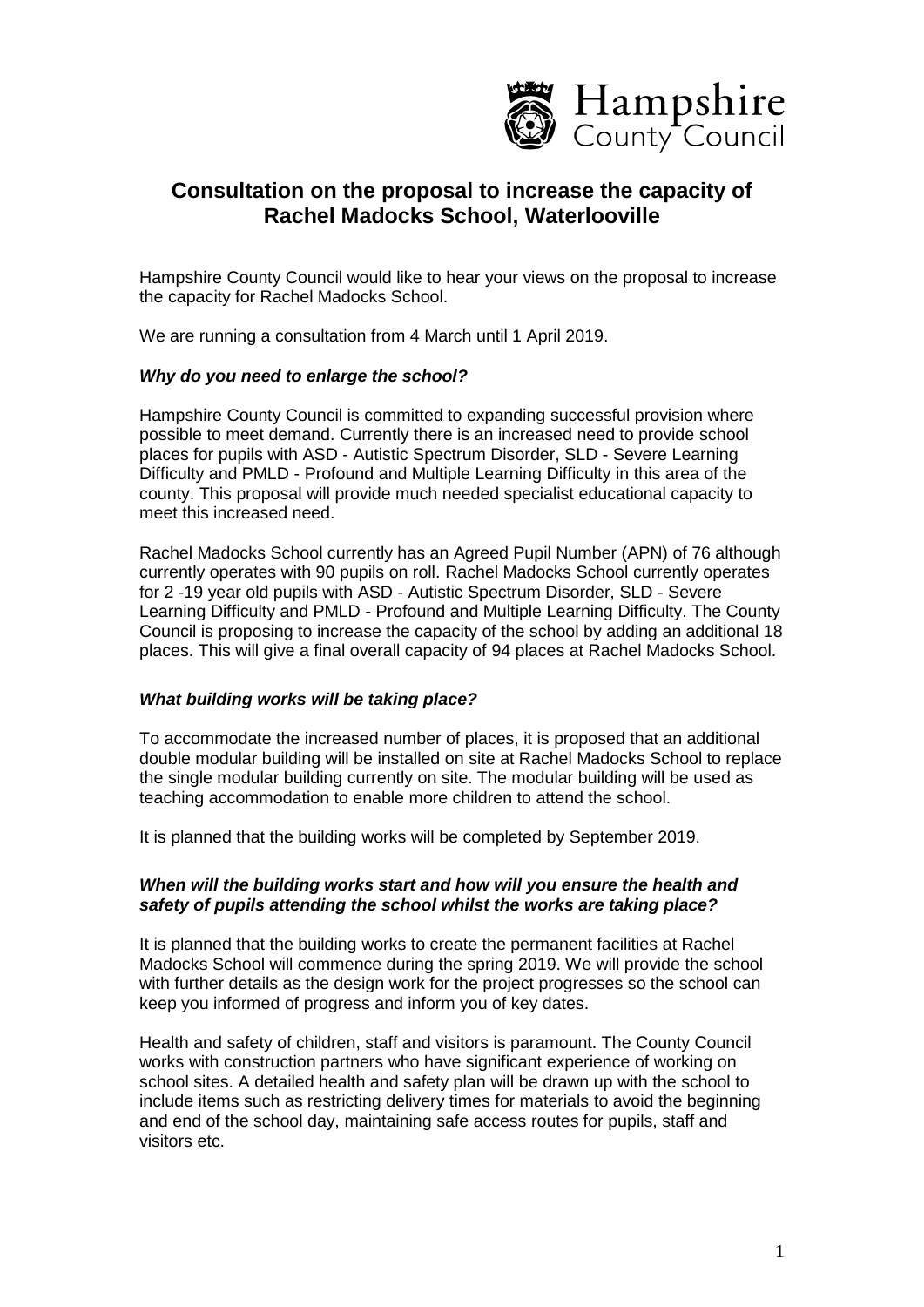

# **Consultation on the proposal to increase the capacity of Rachel Madocks School, Waterlooville**

Hampshire County Council would like to hear your views on the proposal to increase the capacity for Rachel Madocks School.

We are running a consultation from 4 March until 1 April 2019.

#### *Why do you need to enlarge the school?*

Hampshire County Council is committed to expanding successful provision where possible to meet demand. Currently there is an increased need to provide school places for pupils with ASD - Autistic Spectrum Disorder, SLD - Severe Learning Difficulty and PMLD - Profound and Multiple Learning Difficulty in this area of the county. This proposal will provide much needed specialist educational capacity to meet this increased need.

Rachel Madocks School currently has an Agreed Pupil Number (APN) of 76 although currently operates with 90 pupils on roll. Rachel Madocks School currently operates for 2 -19 year old pupils with ASD - Autistic Spectrum Disorder, SLD - Severe Learning Difficulty and PMLD - Profound and Multiple Learning Difficulty. The County Council is proposing to increase the capacity of the school by adding an additional 18 places. This will give a final overall capacity of 94 places at Rachel Madocks School.

#### *What building works will be taking place?*

To accommodate the increased number of places, it is proposed that an additional double modular building will be installed on site at Rachel Madocks School to replace the single modular building currently on site. The modular building will be used as teaching accommodation to enable more children to attend the school.

It is planned that the building works will be completed by September 2019.

#### *When will the building works start and how will you ensure the health and safety of pupils attending the school whilst the works are taking place?*

It is planned that the building works to create the permanent facilities at Rachel Madocks School will commence during the spring 2019. We will provide the school with further details as the design work for the project progresses so the school can keep you informed of progress and inform you of key dates.

Health and safety of children, staff and visitors is paramount. The County Council works with construction partners who have significant experience of working on school sites. A detailed health and safety plan will be drawn up with the school to include items such as restricting delivery times for materials to avoid the beginning and end of the school day, maintaining safe access routes for pupils, staff and visitors etc.